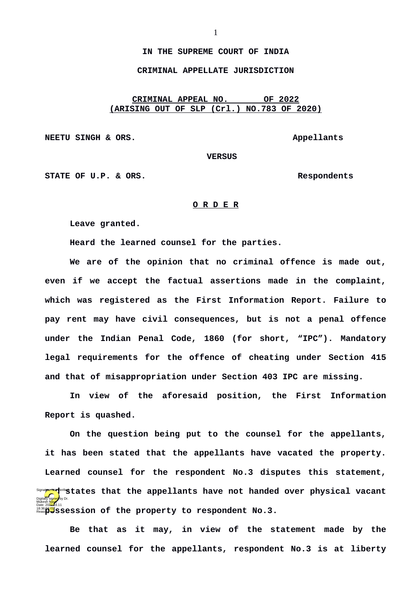## **IN THE SUPREME COURT OF INDIA**

## **CRIMINAL APPELLATE JURISDICTION**

## **CRIMINAL APPEAL NO. OF 2022 (ARISING OUT OF SLP (Crl.) NO.783 OF 2020)**

**NEETU SINGH & ORS.** Appellants

 **VERSUS**

STATE OF U.P. & ORS. **Respondents** 

# **O R D E R**

**Leave granted.** 

**Heard the learned counsel for the parties.** 

**We are of the opinion that no criminal offence is made out, even if we accept the factual assertions made in the complaint, which was registered as the First Information Report. Failure to pay rent may have civil consequences, but is not a penal offence under the Indian Penal Code, 1860 (for short, "IPC"). Mandatory legal requirements for the offence of cheating under Section 415 and that of misappropriation under Section 403 IPC are missing.**

**In view of the aforesaid position, the First Information Report is quashed.** 

**On the question being put to the counsel for the appellants, it has been stated that the appellants have vacated the property. Learned counsel for the respondent No.3 disputes this statement, sgage that the appellants have not handed over physical vacant passes and S**<br>Reaso**py S**SSession of the property to respondent No.3. Digitally signed by Dr. Mukesh Masa

**Be that as it may, in view of the statement made by the learned counsel for the appellants, respondent No.3 is at liberty**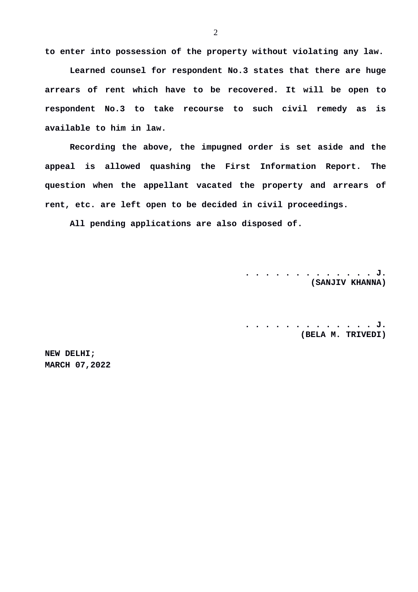**to enter into possession of the property without violating any law.**

**Learned counsel for respondent No.3 states that there are huge arrears of rent which have to be recovered. It will be open to respondent No.3 to take recourse to such civil remedy as is available to him in law.** 

**Recording the above, the impugned order is set aside and the appeal is allowed quashing the First Information Report. The question when the appellant vacated the property and arrears of rent, etc. are left open to be decided in civil proceedings.** 

**All pending applications are also disposed of.** 

**. . . . . . . . . . . . . J. (SANJIV KHANNA)**

**. . . . . . . . . . . . . J. (BELA M. TRIVEDI)**

**NEW DELHI; MARCH 07,2022**